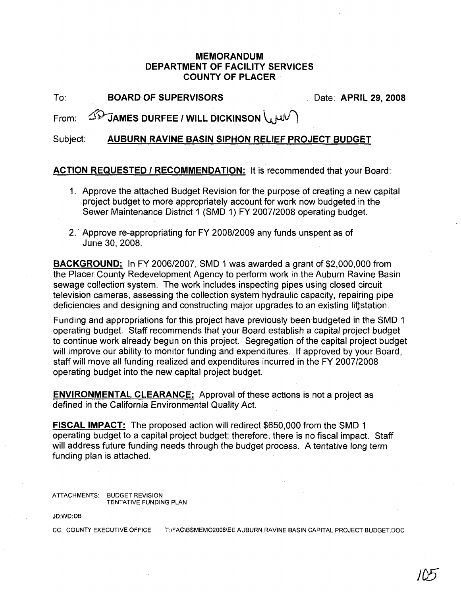## **MEMORANDUM DEPARTMENT OF FACILITY SERVICES COUNTY OF PLACER**

To: **BOARD OF SUPERVISORS** . Date: **APRIL** 29, **2008**

From:  $\widehat{\Delta V}$ **JAMES DURFEE / WILL DICKINSON** 

Subject: **AUBURN RAVINE BASIN SIPHON RELIEF PROJECT BUDGET**

## **ACTION REQUESTED I RECOMMENDATION:** It is recommended that your Board:

- 1. Approve the attached Budget Revision for the purpose of creating a new capital project budget to more appropriately account for work now budgeted in the Sewer Maintenance District 1 (SMD 1) FY 2007/2008 operating budget.
- 2.' Approve re-appropriating for FY 2008/2009 any funds unspent as of June 30, 2008.

**BACKGROUND:** In FY 2006/2007, SMD 1 was awarded a grant of \$2,000,000 from the Placer County Redevelopment Agency to perform work in the Auburn Ravine Basin sewage collection system. The work includes inspecting pipes using closed circuit television cameras, assessing the collection system hydraulic capacity, repairing pipe deficiencies and designing and constructing major upgrades to an existing liftstation.

Funding and appropriations for this project have previously been budgeted in the SMD 1 operating budget. Staff recommends that your Board establish a capital project budget to continue work already begun on this project. Segregation of the capital project budget will improve our ability to monitor funding and expenditures. If approved by your Board, staff will move all funding realized and expenditures incurred in the FY 2007/2008 operating budget into the new capital project budget.

**ENVIRONMENTAL CLEARANCE:** Approval of these actions is not a project as defined in the California Environmental Quality Act.

**FISCAL IMPACT:** The proposed action will redirect \$650,000 from the SMD 1 operating budget to a capital project budget; therefore, there is no fiscal impact. Staff will address future funding needs through the budget process. A tentative long term funding plan is attached.

ATIACHMENTS: BUDGET REVISION TENTATIVE FUNDING PLAN

JD:WD:DB

CC: COUNTY EXECUTIVE OFFICE T:\FAC\BSMEM02008\EE AUBURN RAVINE BASIN CAPITAL PROJECT BUDGET.DOC

 $JD\!\!\!\!D$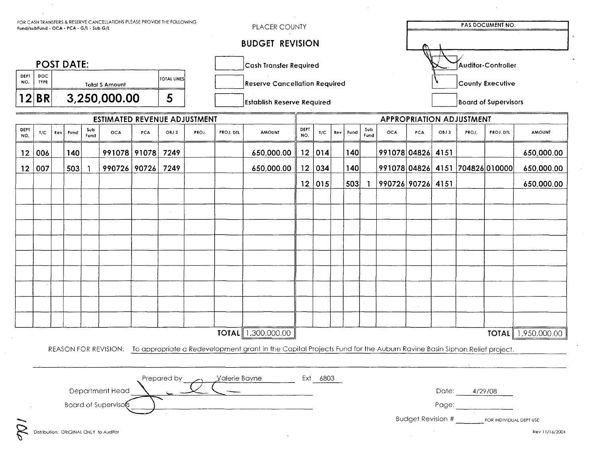| FOR CASH TRANSFERS & RESERVE CANCELLATIONS PLEASE PROVIDE THE FOLLOWING<br>Fund/subFund - OCA - PCA - G/L - Sub G/L |                                        |                                |      |             |              |     |                                   | PLACER COUNTY                        |                        |                                                                                                                                           |             |          |     | <b>PAS DOCUMENT NO.</b>     |             |                                   |            |      |                         |                  |                           |
|---------------------------------------------------------------------------------------------------------------------|----------------------------------------|--------------------------------|------|-------------|--------------|-----|-----------------------------------|--------------------------------------|------------------------|-------------------------------------------------------------------------------------------------------------------------------------------|-------------|----------|-----|-----------------------------|-------------|-----------------------------------|------------|------|-------------------------|------------------|---------------------------|
|                                                                                                                     | <b>BUDGET REVISION</b>                 |                                |      |             |              |     |                                   |                                      |                        |                                                                                                                                           |             |          |     |                             |             |                                   |            |      |                         |                  |                           |
| <b>POST DATE:</b>                                                                                                   |                                        |                                |      |             |              |     |                                   |                                      | Cash Transfer Required | Auditor-Controller                                                                                                                        |             |          |     |                             |             |                                   |            |      |                         |                  |                           |
| DEPT<br>NO.                                                                                                         | DOC<br><b>TYPE</b>                     | TOTAL LINES<br>Total \$ Amount |      |             |              |     |                                   | <b>Reserve Cancellation Required</b> |                        |                                                                                                                                           |             |          |     |                             |             | County Executive                  |            |      |                         |                  |                           |
|                                                                                                                     | 12 BR                                  | 5<br>3,250,000.00              |      |             |              |     | <b>Establish Reserve Required</b> |                                      |                        |                                                                                                                                           |             |          |     | <b>Board of Supervisors</b> |             |                                   |            |      |                         |                  |                           |
| <b>ESTIMATED REVENUE ADJUSTMENT</b>                                                                                 |                                        |                                |      |             |              |     |                                   |                                      |                        |                                                                                                                                           |             |          |     |                             |             | <b>APPROPRIATION ADJUSTMENT</b>   |            |      |                         |                  |                           |
| DEPT<br>NO.                                                                                                         | T/C                                    | Rev                            | Fund | Sub<br>Fund | OCA          | PCA | OBJ3                              | PROJ.                                | PROJ. DTL              | <b>AMOUNT</b>                                                                                                                             | DEPT<br>NO. | T/C      | Rev | Fund                        | Sub<br>Fund | OCA                               | <b>PCA</b> | OBJ3 | PROJ.                   | <b>PROJ. DTL</b> | <b>AMOUNT</b>             |
| 12 <sub>2</sub>                                                                                                     | 006                                    |                                | 140  |             | 991078 91078 |     | 7249                              |                                      |                        | 650,000.00                                                                                                                                | 12          | 014      |     | 140                         |             | 991078 04826 4151                 |            |      |                         |                  | 650,000.00                |
| 12 <sup>°</sup>                                                                                                     | 007                                    |                                | 503  |             | 990726 90726 |     | 7249                              |                                      |                        | 650,000.00                                                                                                                                | 12          | 034      |     | 140                         |             | 991078 04826 4151 704826 010000   |            |      |                         |                  | 650,000.00                |
|                                                                                                                     |                                        |                                |      |             |              |     |                                   |                                      |                        |                                                                                                                                           |             | 12 015   |     | 503                         |             | 990726 90726 4151                 |            |      |                         |                  | 650,000.00                |
|                                                                                                                     |                                        |                                |      |             |              |     |                                   |                                      |                        |                                                                                                                                           |             |          |     |                             |             |                                   |            |      |                         |                  |                           |
|                                                                                                                     |                                        |                                |      |             |              |     |                                   |                                      |                        |                                                                                                                                           |             |          |     |                             |             |                                   |            |      |                         |                  |                           |
|                                                                                                                     |                                        |                                |      |             |              |     |                                   |                                      |                        |                                                                                                                                           |             |          |     |                             |             |                                   |            |      |                         |                  |                           |
|                                                                                                                     |                                        |                                |      |             |              |     |                                   |                                      |                        |                                                                                                                                           |             |          |     |                             |             |                                   |            |      |                         |                  |                           |
|                                                                                                                     |                                        |                                |      |             |              |     |                                   |                                      |                        |                                                                                                                                           |             |          |     |                             |             |                                   |            |      |                         |                  |                           |
|                                                                                                                     |                                        |                                |      |             |              |     |                                   |                                      |                        |                                                                                                                                           |             |          |     |                             |             |                                   |            |      |                         |                  |                           |
|                                                                                                                     |                                        |                                |      |             |              |     |                                   |                                      |                        |                                                                                                                                           |             |          |     |                             |             |                                   |            |      |                         |                  |                           |
|                                                                                                                     |                                        |                                |      |             |              |     |                                   |                                      |                        |                                                                                                                                           |             |          |     |                             |             |                                   |            |      |                         |                  |                           |
|                                                                                                                     |                                        |                                |      |             |              |     |                                   |                                      |                        |                                                                                                                                           |             |          |     |                             |             |                                   |            |      |                         |                  |                           |
|                                                                                                                     |                                        |                                |      |             |              |     |                                   |                                      | <b>TOTAL</b>           | 1,300,000.00                                                                                                                              |             |          |     |                             |             |                                   |            |      |                         |                  | <b>TOTAL</b> 1,950,000.00 |
|                                                                                                                     |                                        |                                |      |             |              |     |                                   |                                      |                        | REASON FOR REVISION: To appropriate a Redevelopment grant in the Capital Projects Fund for the Auburn Ravine Basin Siphon Relief project. |             |          |     |                             |             |                                   |            |      |                         |                  |                           |
|                                                                                                                     |                                        |                                |      |             |              |     |                                   |                                      |                        |                                                                                                                                           |             |          |     |                             |             |                                   |            |      |                         |                  |                           |
|                                                                                                                     | Prepared by<br>Valerie Bayne           |                                |      |             |              |     |                                   |                                      |                        |                                                                                                                                           |             | Ext 6803 |     |                             |             |                                   |            |      |                         |                  |                           |
|                                                                                                                     | Department Head                        |                                |      |             |              |     |                                   |                                      |                        |                                                                                                                                           |             |          |     | Date:<br>4/29/08            |             |                                   |            |      |                         |                  |                           |
|                                                                                                                     | <b>Board of Supervisors</b>            |                                |      |             |              |     |                                   |                                      |                        |                                                                                                                                           |             |          |     |                             |             | Page:<br><b>Budget Revision #</b> |            |      |                         |                  |                           |
|                                                                                                                     | Distribution: ORIGINAL ONLY to Auditor |                                |      |             |              |     |                                   |                                      |                        |                                                                                                                                           |             |          |     |                             |             |                                   |            |      | FOR INDIVIDUAL DEPT USE | Rev 11/16/2004   |                           |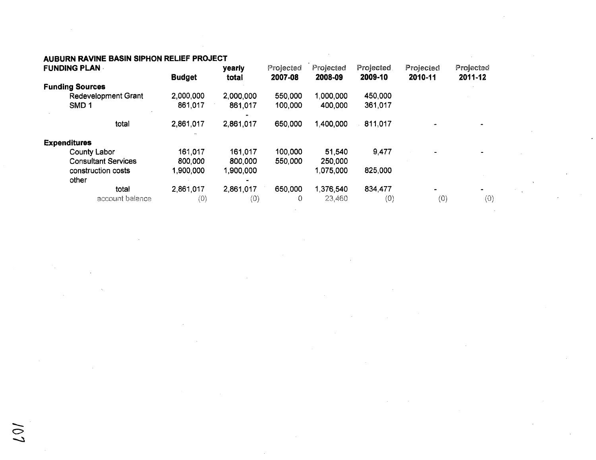## AUBURN RAVINE BASIN SIPHON RELIEF PROJECT

|                        | <b>FUNDING PLAN</b>         | <b>Budget</b> | yearly<br>total |          | Projected<br>2008-09 | Projected.<br>2009-10 | Projected<br>2010-11 | Projected<br>2011-12 |
|------------------------|-----------------------------|---------------|-----------------|----------|----------------------|-----------------------|----------------------|----------------------|
| <b>Funding Sources</b> |                             |               |                 | 2007-08  |                      |                       |                      |                      |
|                        | <b>Redevelopment Grant</b>  | 2,000,000     | 2,000,000       | 550,000  | 1.000.000            | 450,000               |                      |                      |
|                        | SMD <sub>1</sub>            | 861,017       | 861,017         | 100,000  | 400,000              | 361,017               |                      |                      |
|                        | total                       | 2,861,017     | 2,861.017       | 650,000  | 1,400,000            | 811,017               |                      |                      |
| <b>Expenditures</b>    |                             |               |                 |          |                      |                       |                      |                      |
|                        | <b>County Labor</b>         | 161,017       | 161,017         | 100,000  | 51,540               | 9,477                 |                      |                      |
|                        | <b>Consultant Services</b>  | 800,000       | 800,000         | 550,000  | 250,000              |                       |                      |                      |
|                        | construction costs<br>other | 1,900,000     | 1,900,000       |          | 1,075,000            | 825,000               |                      |                      |
|                        | total                       | 2,861,017     | 2,861,017       | 650,000  | 1,376,540            | 834,477               |                      |                      |
|                        | account balance             | (0)           | (0)             | $\Omega$ | 23,460               | (0)                   | (0)                  | (0)                  |

 $\geqslant$ 

÷.